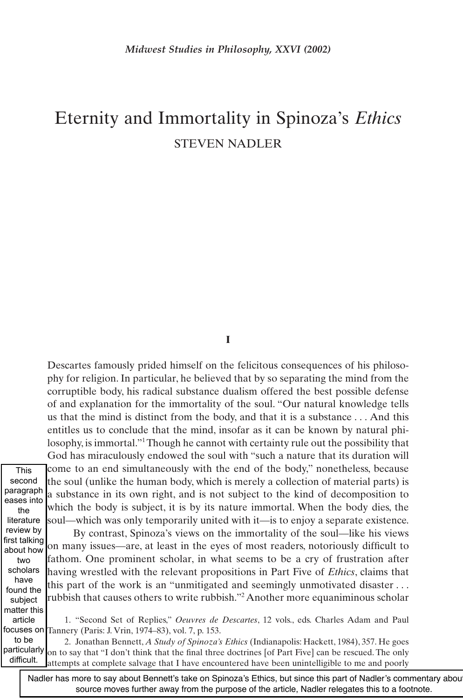# Eternity and Immortality in Spinoza's *Ethics* STEVEN NADLER

## **I**

1. "Second Set of Replies," *Oeuvres de Descartes*, 12 vols., eds. Charles Adam and Paul focuses on  $\text{Tannery}$  (Paris: J. Vrin, 1974–83), vol. 7, p. 153. Descartes famously prided himself on the felicitous consequences of his philosophy for religion. In particular, he believed that by so separating the mind from the corruptible body, his radical substance dualism offered the best possible defense of and explanation for the immortality of the soul. "Our natural knowledge tells us that the mind is distinct from the body, and that it is a substance... And this entitles us to conclude that the mind, insofar as it can be known by natural philosophy, is immortal."1 Though he cannot with certainty rule out the possibility that God has miraculously endowed the soul with "such a nature that its duration will come to an end simultaneously with the end of the body," nonetheless, because the soul (unlike the human body, which is merely a collection of material parts) is a substance in its own right, and is not subject to the kind of decomposition to which the body is subject, it is by its nature immortal. When the body dies, the soul—which was only temporarily united with it—is to enjoy a separate existence. By contrast, Spinoza's views on the immortality of the soul—like his views on many issues—are, at least in the eyes of most readers, notoriously difficult to fathom. One prominent scholar, in what seems to be a cry of frustration after having wrestled with the relevant propositions in Part Five of *Ethics*, claims that this part of the work is an "unmitigated and seemingly unmotivated disaster... rubbish that causes others to write rubbish."<sup>2</sup> Another more equaniminous scholar second paragraph eases into literature review by first talking about how scholars found the subject matter this

This

the

two

have

article

2. Jonathan Bennett, *A Study of Spinoza's Ethics* (Indianapolis: Hackett, 1984), 357. He goes on to say that "I don't think that the final three doctrines [of Part Five] can be rescued. The only attempts at complete salvage that I have encountered have been unintelligible to me and poorly to be particularly difficult.

source moves further away from the purpose of the article, Nadler relegates this to a footnote. Nadler has more to say about Bennett's take on Spinoza's Ethics, but since this part of Nadler's commentary abou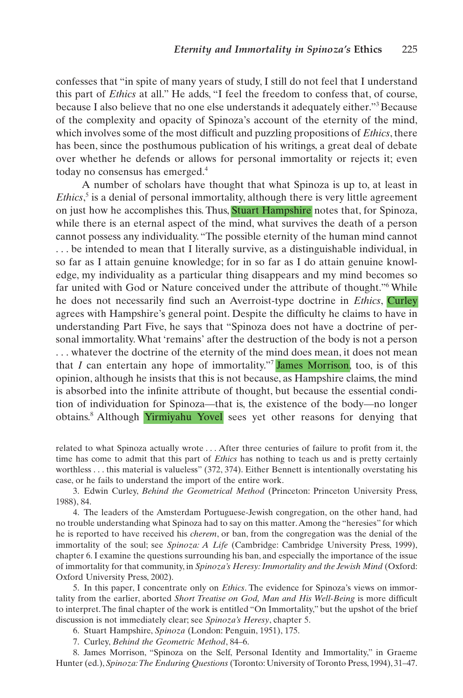confesses that "in spite of many years of study, I still do not feel that I understand this part of *Ethics* at all." He adds, "I feel the freedom to confess that, of course, because I also believe that no one else understands it adequately either."3 Because of the complexity and opacity of Spinoza's account of the eternity of the mind, which involves some of the most difficult and puzzling propositions of *Ethics*, there has been, since the posthumous publication of his writings, a great deal of debate over whether he defends or allows for personal immortality or rejects it; even today no consensus has emerged.4

A number of scholars have thought that what Spinoza is up to, at least in *Ethics*, <sup>5</sup> is a denial of personal immortality, although there is very little agreement on just how he accomplishes this. Thus, Stuart Hampshire notes that, for Spinoza, while there is an eternal aspect of the mind, what survives the death of a person cannot possess any individuality. "The possible eternity of the human mind cannot . . . be intended to mean that I literally survive, as a distinguishable individual, in so far as I attain genuine knowledge; for in so far as I do attain genuine knowledge, my individuality as a particular thing disappears and my mind becomes so far united with God or Nature conceived under the attribute of thought."6 While he does not necessarily find such an Averroist-type doctrine in *Ethics*, Curley agrees with Hampshire's general point. Despite the difficulty he claims to have in understanding Part Five, he says that "Spinoza does not have a doctrine of personal immortality. What 'remains' after the destruction of the body is not a person . . . whatever the doctrine of the eternity of the mind does mean, it does not mean that *I* can entertain any hope of immortality.<sup>"7</sup> James Morrison, too, is of this opinion, although he insists that this is not because, as Hampshire claims, the mind is absorbed into the infinite attribute of thought, but because the essential condition of individuation for Spinoza—that is, the existence of the body—no longer obtains.8 Although Yirmiyahu Yovel sees yet other reasons for denying that

related to what Spinoza actually wrote... After three centuries of failure to profit from it, the time has come to admit that this part of *Ethics* has nothing to teach us and is pretty certainly worthless... this material is valueless" (372, 374). Either Bennett is intentionally overstating his case, or he fails to understand the import of the entire work.

3. Edwin Curley, *Behind the Geometrical Method* (Princeton: Princeton University Press, 1988), 84.

4. The leaders of the Amsterdam Portuguese-Jewish congregation, on the other hand, had no trouble understanding what Spinoza had to say on this matter.Among the "heresies" for which he is reported to have received his *cherem*, or ban, from the congregation was the denial of the immortality of the soul; see *Spinoza: A Life* (Cambridge: Cambridge University Press, 1999), chapter 6. I examine the questions surrounding his ban, and especially the importance of the issue of immortality for that community, in *Spinoza's Heresy: Immortality and the Jewish Mind* (Oxford: Oxford University Press, 2002).

5. In this paper, I concentrate only on *Ethics*. The evidence for Spinoza's views on immortality from the earlier, aborted *Short Treatise on God, Man and His Well-Being* is more difficult to interpret. The final chapter of the work is entitled "On Immortality," but the upshot of the brief discussion is not immediately clear; see *Spinoza's Heresy*, chapter 5.

6. Stuart Hampshire, *Spinoza* (London: Penguin, 1951), 175.

7. Curley, *Behind the Geometric Method*, 84–6.

8. James Morrison, "Spinoza on the Self, Personal Identity and Immortality," in Graeme Hunter (ed.), *Spinoza:The Enduring Questions* (Toronto: University of Toronto Press, 1994), 31–47.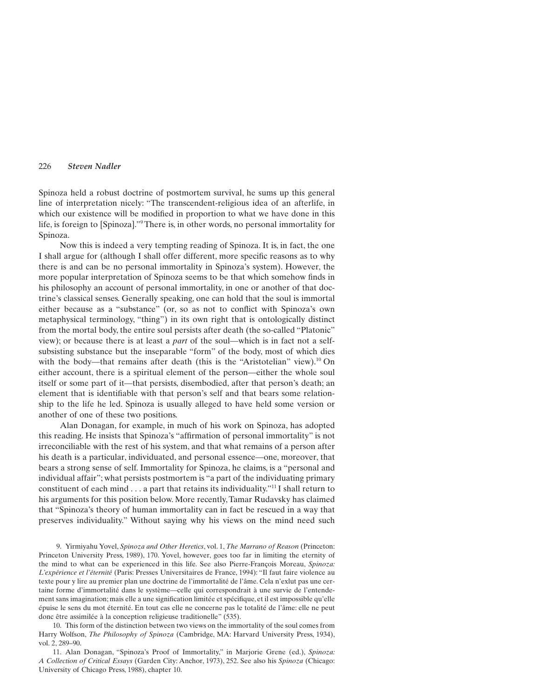## 226 *Steven Nadler*

Spinoza held a robust doctrine of postmortem survival, he sums up this general line of interpretation nicely: "The transcendent-religious idea of an afterlife, in which our existence will be modified in proportion to what we have done in this life, is foreign to [Spinoza]."9 There is, in other words, no personal immortality for Spinoza.

Now this is indeed a very tempting reading of Spinoza. It is, in fact, the one I shall argue for (although I shall offer different, more specific reasons as to why there is and can be no personal immortality in Spinoza's system). However, the more popular interpretation of Spinoza seems to be that which somehow finds in his philosophy an account of personal immortality, in one or another of that doctrine's classical senses. Generally speaking, one can hold that the soul is immortal either because as a "substance" (or, so as not to conflict with Spinoza's own metaphysical terminology, "thing") in its own right that is ontologically distinct from the mortal body, the entire soul persists after death (the so-called "Platonic" view); or because there is at least a *part* of the soul—which is in fact not a selfsubsisting substance but the inseparable "form" of the body, most of which dies with the body—that remains after death (this is the "Aristotelian" view).<sup>10</sup> On either account, there is a spiritual element of the person—either the whole soul itself or some part of it—that persists, disembodied, after that person's death; an element that is identifiable with that person's self and that bears some relationship to the life he led. Spinoza is usually alleged to have held some version or another of one of these two positions.

Alan Donagan, for example, in much of his work on Spinoza, has adopted this reading. He insists that Spinoza's "affirmation of personal immortality" is not irreconciliable with the rest of his system, and that what remains of a person after his death is a particular, individuated, and personal essence—one, moreover, that bears a strong sense of self. Immortality for Spinoza, he claims, is a "personal and individual affair"; what persists postmortem is "a part of the individuating primary constituent of each mind  $\ldots$  a part that retains its individuality."<sup>11</sup> I shall return to his arguments for this position below. More recently, Tamar Rudavsky has claimed that "Spinoza's theory of human immortality can in fact be rescued in a way that preserves individuality." Without saying why his views on the mind need such

9. Yirmiyahu Yovel, *Spinoza and Other Heretics*, vol. 1, *The Marrano of Reason* (Princeton: Princeton University Press, 1989), 170. Yovel, however, goes too far in limiting the eternity of the mind to what can be experienced in this life. See also Pierre-François Moreau, *Spinoza: L'expérience et l'éternité* (Paris: Presses Universitaires de France, 1994): "Il faut faire violence au texte pour y lire au premier plan une doctrine de l'immortalité de l'âme. Cela n'exlut pas une certaine forme d'immortalité dans le système—celle qui correspondrait à une survie de l'entendement sans imagination; mais elle a une signification limitée et spécifique, et il est impossible qu'elle épuise le sens du mot éternité. En tout cas elle ne concerne pas le totalité de l'âme: elle ne peut donc être assimilée à la conception religieuse traditionelle" (535).

10. This form of the distinction between two views on the immortality of the soul comes from Harry Wolfson, *The Philosophy of Spinoza* (Cambridge, MA: Harvard University Press, 1934), vol. 2, 289–90.

11. Alan Donagan, "Spinoza's Proof of Immortality," in Marjorie Grene (ed.), *Spinoza: A Collection of Critical Essays* (Garden City: Anchor, 1973), 252. See also his *Spinoza* (Chicago: University of Chicago Press, 1988), chapter 10.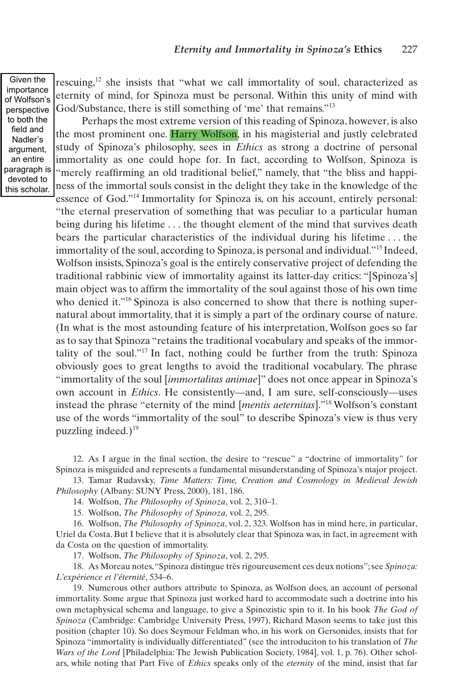Given the importance of Wolfson's perspective to both the field and Nadler's argument, an entire paragraph is devoted to this scholar.

rescuing,12 she insists that "what we call immortality of soul, characterized as eternity of mind, for Spinoza must be personal. Within this unity of mind with God/Substance, there is still something of 'me' that remains."13

Perhaps the most extreme version of this reading of Spinoza, however, is also the most prominent one. Harry Wolfson, in his magisterial and justly celebrated study of Spinoza's philosophy, sees in *Ethics* as strong a doctrine of personal immortality as one could hope for. In fact, according to Wolfson, Spinoza is "merely reaffirming an old traditional belief," namely, that "the bliss and happiness of the immortal souls consist in the delight they take in the knowledge of the

essence of God."14 Immortality for Spinoza is, on his account, entirely personal: "the eternal preservation of something that was peculiar to a particular human being during his lifetime... the thought element of the mind that survives death bears the particular characteristics of the individual during his lifetime . . . the immortality of the soul, according to Spinoza, is personal and individual."15 Indeed, Wolfson insists, Spinoza's goal is the entirely conservative project of defending the traditional rabbinic view of immortality against its latter-day critics: "[Spinoza's] main object was to affirm the immortality of the soul against those of his own time who denied it."<sup>16</sup> Spinoza is also concerned to show that there is nothing supernatural about immortality, that it is simply a part of the ordinary course of nature. (In what is the most astounding feature of his interpretation, Wolfson goes so far as to say that Spinoza "retains the traditional vocabulary and speaks of the immortality of the soul."17 In fact, nothing could be further from the truth: Spinoza obviously goes to great lengths to avoid the traditional vocabulary. The phrase "immortality of the soul [*immortalitas animae*]" does not once appear in Spinoza's own account in *Ethics*. He consistently—and, I am sure, self-consciously—uses instead the phrase "eternity of the mind [*mentis aeternitas*]."18 Wolfson's constant use of the words "immortality of the soul" to describe Spinoza's view is thus very puzzling indeed.) $19$ 

12. As I argue in the final section, the desire to "rescue" a "doctrine of immortality" for Spinoza is misguided and represents a fundamental misunderstanding of Spinoza's major project.

13. Tamar Rudavsky, *Time Matters: Time, Creation and Cosmology in Medieval Jewish Philosophy* (Albany: SUNY Press, 2000), 181, 186.

14. Wolfson, *The Philosophy of Spinoza*, vol. 2, 310–1.

15. Wolfson, *The Philosophy of Spinoza*, vol. 2, 295.

16. Wolfson, *The Philosophy of Spinoza*, vol. 2, 323. Wolfson has in mind here, in particular, Uriel da Costa. But I believe that it is absolutely clear that Spinoza was, in fact, in agreement with da Costa on the question of immortality.

17. Wolfson, *The Philosophy of Spinoza*, vol. 2, 295.

18. As Moreau notes,"Spinoza distingue très rigoureusement ces deux notions"; see *Spinoza: L'expérience et l'éternité*, 534–6.

19. Numerous other authors attribute to Spinoza, as Wolfson does, an account of personal immortality. Some argue that Spinoza just worked hard to accommodate such a doctrine into his own metaphysical schema and language, to give a Spinozistic spin to it. In his book *The God of Spinoza* (Cambridge: Cambridge University Press, 1997), Richard Mason seems to take just this position (chapter 10). So does Seymour Feldman who, in his work on Gersonides, insists that for Spinoza "immortality is individually differentiated" (see the introduciton to his translation of *The Wars of the Lord* [Philadelphia: The Jewish Publication Society, 1984], vol. 1, p. 76). Other scholars, while noting that Part Five of *Ethics* speaks only of the *eternity* of the mind, insist that far